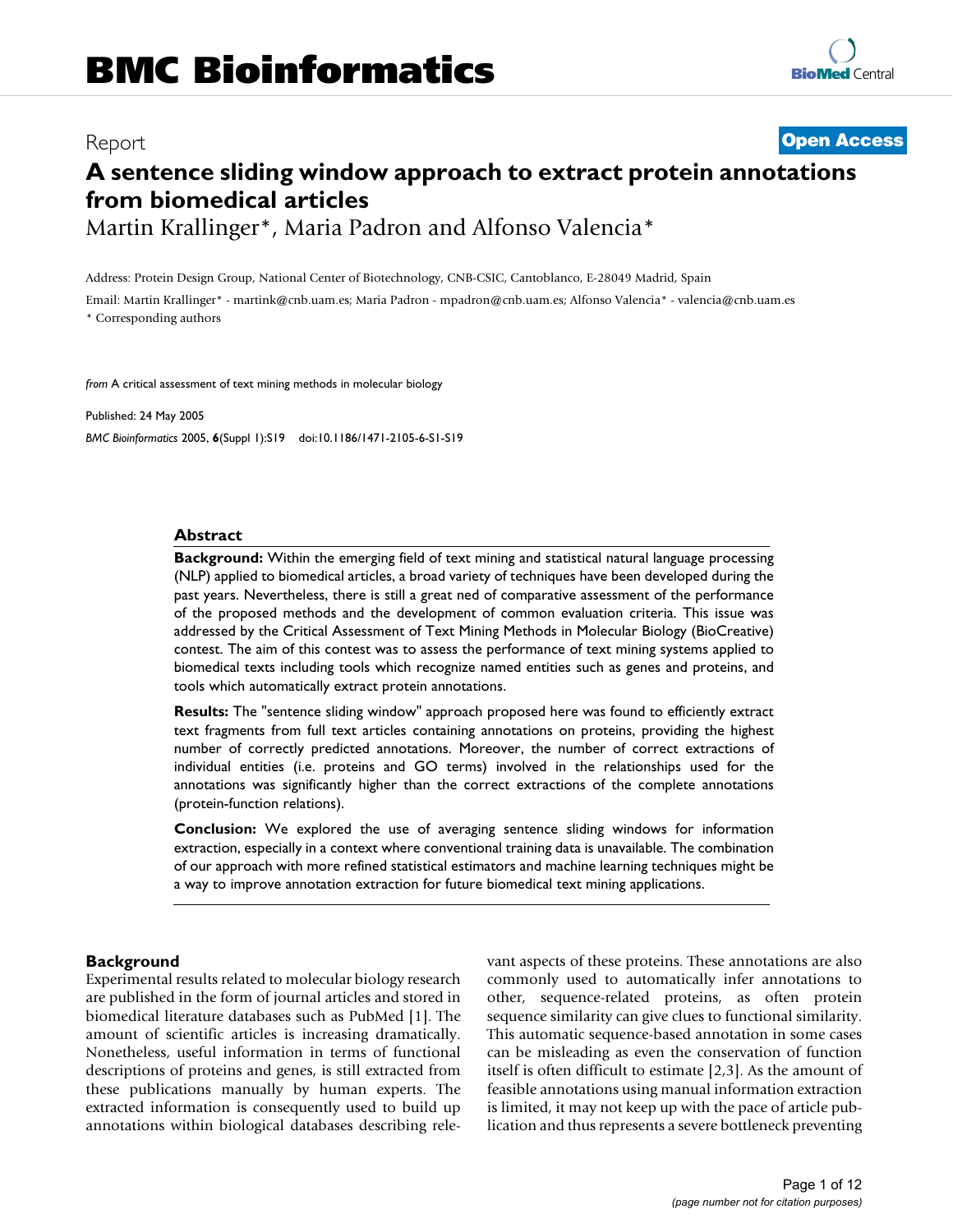# Report **[Open Access](http://www.biomedcentral.com/info/about/charter/) A sentence sliding window approach to extract protein annotations from biomedical articles**

Martin Krallinger\*, Maria Padron and Alfonso Valencia\*

Address: Protein Design Group, National Center of Biotechnology, CNB-CSIC, Cantoblanco, E-28049 Madrid, Spain

Email: Martin Krallinger\* - martink@cnb.uam.es; Maria Padron - mpadron@cnb.uam.es; Alfonso Valencia\* - valencia@cnb.uam.es \* Corresponding authors

*from* A critical assessment of text mining methods in molecular biology

Published: 24 May 2005 *BMC Bioinformatics* 2005, **6**(Suppl 1):S19 doi:10.1186/1471-2105-6-S1-S19

## **Abstract**

**Background:** Within the emerging field of text mining and statistical natural language processing (NLP) applied to biomedical articles, a broad variety of techniques have been developed during the past years. Nevertheless, there is still a great ned of comparative assessment of the performance of the proposed methods and the development of common evaluation criteria. This issue was addressed by the Critical Assessment of Text Mining Methods in Molecular Biology (BioCreative) contest. The aim of this contest was to assess the performance of text mining systems applied to biomedical texts including tools which recognize named entities such as genes and proteins, and tools which automatically extract protein annotations.

**Results:** The "sentence sliding window" approach proposed here was found to efficiently extract text fragments from full text articles containing annotations on proteins, providing the highest number of correctly predicted annotations. Moreover, the number of correct extractions of individual entities (i.e. proteins and GO terms) involved in the relationships used for the annotations was significantly higher than the correct extractions of the complete annotations (protein-function relations).

**Conclusion:** We explored the use of averaging sentence sliding windows for information extraction, especially in a context where conventional training data is unavailable. The combination of our approach with more refined statistical estimators and machine learning techniques might be a way to improve annotation extraction for future biomedical text mining applications.

## **Background**

Experimental results related to molecular biology research are published in the form of journal articles and stored in biomedical literature databases such as PubMed [1]. The amount of scientific articles is increasing dramatically. Nonetheless, useful information in terms of functional descriptions of proteins and genes, is still extracted from these publications manually by human experts. The extracted information is consequently used to build up annotations within biological databases describing relevant aspects of these proteins. These annotations are also commonly used to automatically infer annotations to other, sequence-related proteins, as often protein sequence similarity can give clues to functional similarity. This automatic sequence-based annotation in some cases can be misleading as even the conservation of function itself is often difficult to estimate [2,3]. As the amount of feasible annotations using manual information extraction is limited, it may not keep up with the pace of article publication and thus represents a severe bottleneck preventing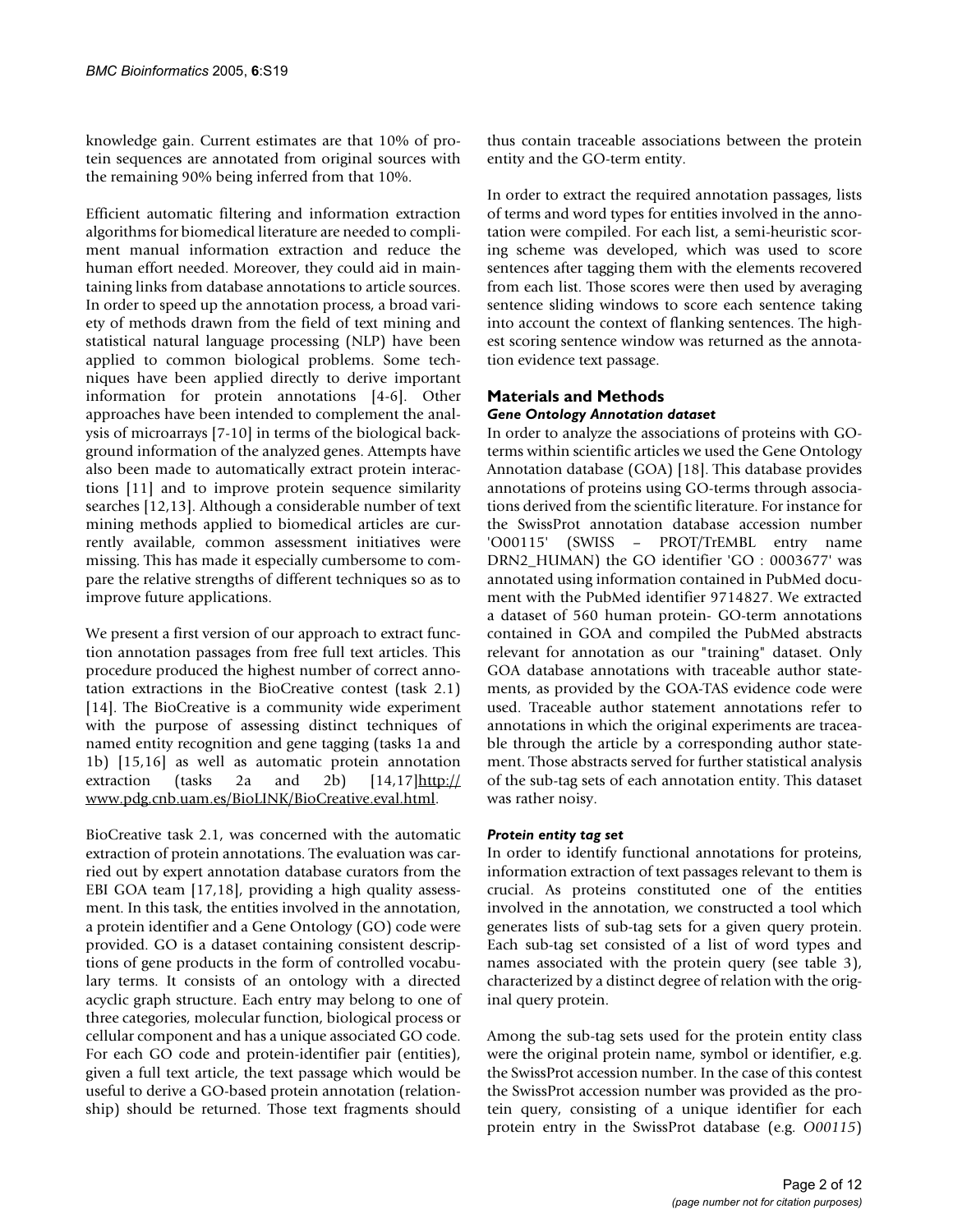knowledge gain. Current estimates are that 10% of protein sequences are annotated from original sources with the remaining 90% being inferred from that 10%.

Efficient automatic filtering and information extraction algorithms for biomedical literature are needed to compliment manual information extraction and reduce the human effort needed. Moreover, they could aid in maintaining links from database annotations to article sources. In order to speed up the annotation process, a broad variety of methods drawn from the field of text mining and statistical natural language processing (NLP) have been applied to common biological problems. Some techniques have been applied directly to derive important information for protein annotations [4-6]. Other approaches have been intended to complement the analysis of microarrays [7-10] in terms of the biological background information of the analyzed genes. Attempts have also been made to automatically extract protein interactions [11] and to improve protein sequence similarity searches [12,13]. Although a considerable number of text mining methods applied to biomedical articles are currently available, common assessment initiatives were missing. This has made it especially cumbersome to compare the relative strengths of different techniques so as to improve future applications.

We present a first version of our approach to extract function annotation passages from free full text articles. This procedure produced the highest number of correct annotation extractions in the BioCreative contest (task 2.1) [14]. The BioCreative is a community wide experiment with the purpose of assessing distinct techniques of named entity recognition and gene tagging (tasks 1a and 1b) [15,16] as well as automatic protein annotation extraction (tasks 2a and 2b)  $[14,17]$ [http://](http://www.pdg.cnb.uam.es/BioLINK/BioCreative.eval.html) [www.pdg.cnb.uam.es/BioLINK/BioCreative.eval.html.](http://www.pdg.cnb.uam.es/BioLINK/BioCreative.eval.html)

BioCreative task 2.1, was concerned with the automatic extraction of protein annotations. The evaluation was carried out by expert annotation database curators from the EBI GOA team [17,18], providing a high quality assessment. In this task, the entities involved in the annotation, a protein identifier and a Gene Ontology (GO) code were provided. GO is a dataset containing consistent descriptions of gene products in the form of controlled vocabulary terms. It consists of an ontology with a directed acyclic graph structure. Each entry may belong to one of three categories, molecular function, biological process or cellular component and has a unique associated GO code. For each GO code and protein-identifier pair (entities), given a full text article, the text passage which would be useful to derive a GO-based protein annotation (relationship) should be returned. Those text fragments should thus contain traceable associations between the protein entity and the GO-term entity.

In order to extract the required annotation passages, lists of terms and word types for entities involved in the annotation were compiled. For each list, a semi-heuristic scoring scheme was developed, which was used to score sentences after tagging them with the elements recovered from each list. Those scores were then used by averaging sentence sliding windows to score each sentence taking into account the context of flanking sentences. The highest scoring sentence window was returned as the annotation evidence text passage.

#### **Materials and Methods** *Gene Ontology Annotation dataset*

In order to analyze the associations of proteins with GOterms within scientific articles we used the Gene Ontology Annotation database (GOA) [18]. This database provides annotations of proteins using GO-terms through associations derived from the scientific literature. For instance for the SwissProt annotation database accession number 'O00115' (SWISS – PROT/TrEMBL entry name DRN2\_HUMAN) the GO identifier 'GO : 0003677' was annotated using information contained in PubMed document with the PubMed identifier 9714827. We extracted a dataset of 560 human protein- GO-term annotations contained in GOA and compiled the PubMed abstracts relevant for annotation as our "training" dataset. Only GOA database annotations with traceable author statements, as provided by the GOA-TAS evidence code were used. Traceable author statement annotations refer to annotations in which the original experiments are traceable through the article by a corresponding author statement. Those abstracts served for further statistical analysis of the sub-tag sets of each annotation entity. This dataset was rather noisy.

## *Protein entity tag set*

In order to identify functional annotations for proteins, information extraction of text passages relevant to them is crucial. As proteins constituted one of the entities involved in the annotation, we constructed a tool which generates lists of sub-tag sets for a given query protein. Each sub-tag set consisted of a list of word types and names associated with the protein query (see table 3), characterized by a distinct degree of relation with the original query protein.

Among the sub-tag sets used for the protein entity class were the original protein name, symbol or identifier, e.g. the SwissProt accession number. In the case of this contest the SwissProt accession number was provided as the protein query, consisting of a unique identifier for each protein entry in the SwissProt database (e.g. *O00115*)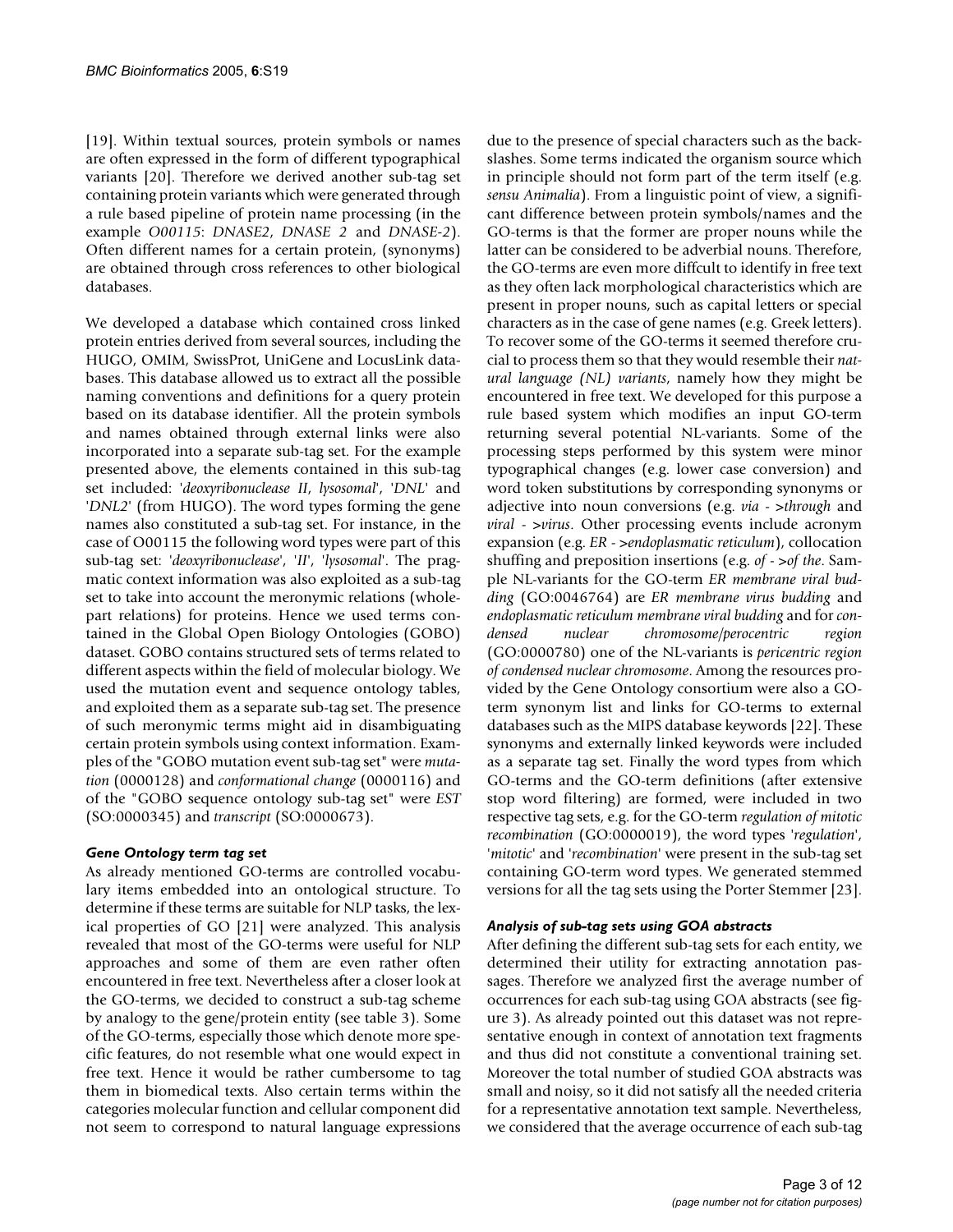[19]. Within textual sources, protein symbols or names are often expressed in the form of different typographical variants [20]. Therefore we derived another sub-tag set containing protein variants which were generated through a rule based pipeline of protein name processing (in the example *O00115*: *DNASE2*, *DNASE 2* and *DNASE-2*). Often different names for a certain protein, (synonyms) are obtained through cross references to other biological databases.

We developed a database which contained cross linked protein entries derived from several sources, including the HUGO, OMIM, SwissProt, UniGene and LocusLink databases. This database allowed us to extract all the possible naming conventions and definitions for a query protein based on its database identifier. All the protein symbols and names obtained through external links were also incorporated into a separate sub-tag set. For the example presented above, the elements contained in this sub-tag set included: '*deoxyribonuclease II*, *lysosomal*', '*DNL*' and '*DNL2*' (from HUGO). The word types forming the gene names also constituted a sub-tag set. For instance, in the case of O00115 the following word types were part of this sub-tag set: '*deoxyribonuclease*', '*II*', '*lysosomal*'. The pragmatic context information was also exploited as a sub-tag set to take into account the meronymic relations (wholepart relations) for proteins. Hence we used terms contained in the Global Open Biology Ontologies (GOBO) dataset. GOBO contains structured sets of terms related to different aspects within the field of molecular biology. We used the mutation event and sequence ontology tables, and exploited them as a separate sub-tag set. The presence of such meronymic terms might aid in disambiguating certain protein symbols using context information. Examples of the "GOBO mutation event sub-tag set" were *mutation* (0000128) and *conformational change* (0000116) and of the "GOBO sequence ontology sub-tag set" were *EST* (SO:0000345) and *transcript* (SO:0000673).

## *Gene Ontology term tag set*

As already mentioned GO-terms are controlled vocabulary items embedded into an ontological structure. To determine if these terms are suitable for NLP tasks, the lexical properties of GO [21] were analyzed. This analysis revealed that most of the GO-terms were useful for NLP approaches and some of them are even rather often encountered in free text. Nevertheless after a closer look at the GO-terms, we decided to construct a sub-tag scheme by analogy to the gene/protein entity (see table 3). Some of the GO-terms, especially those which denote more specific features, do not resemble what one would expect in free text. Hence it would be rather cumbersome to tag them in biomedical texts. Also certain terms within the categories molecular function and cellular component did not seem to correspond to natural language expressions

due to the presence of special characters such as the backslashes. Some terms indicated the organism source which in principle should not form part of the term itself (e.g. *sensu Animalia*). From a linguistic point of view, a significant difference between protein symbols/names and the GO-terms is that the former are proper nouns while the latter can be considered to be adverbial nouns. Therefore, the GO-terms are even more diffcult to identify in free text as they often lack morphological characteristics which are present in proper nouns, such as capital letters or special characters as in the case of gene names (e.g. Greek letters). To recover some of the GO-terms it seemed therefore crucial to process them so that they would resemble their *natural language (NL) variants*, namely how they might be encountered in free text. We developed for this purpose a rule based system which modifies an input GO-term returning several potential NL-variants. Some of the processing steps performed by this system were minor typographical changes (e.g. lower case conversion) and word token substitutions by corresponding synonyms or adjective into noun conversions (e.g. *via* - >*through* and *viral* - >*virus*. Other processing events include acronym expansion (e.g. *ER* - >*endoplasmatic reticulum*), collocation shuffing and preposition insertions (e.g. *of* - >*of the*. Sample NL-variants for the GO-term *ER membrane viral budding* (GO:0046764) are *ER membrane virus budding* and *endoplasmatic reticulum membrane viral budding* and for *condensed nuclear chromosome/perocentric region* (GO:0000780) one of the NL-variants is *pericentric region of condensed nuclear chromosome*. Among the resources provided by the Gene Ontology consortium were also a GOterm synonym list and links for GO-terms to external databases such as the MIPS database keywords [22]. These synonyms and externally linked keywords were included as a separate tag set. Finally the word types from which GO-terms and the GO-term definitions (after extensive stop word filtering) are formed, were included in two respective tag sets, e.g. for the GO-term *regulation of mitotic recombination* (GO:0000019), the word types '*regulation*', '*mitotic*' and '*recombination*' were present in the sub-tag set containing GO-term word types. We generated stemmed versions for all the tag sets using the Porter Stemmer [23].

## *Analysis of sub-tag sets using GOA abstracts*

After defining the different sub-tag sets for each entity, we determined their utility for extracting annotation passages. Therefore we analyzed first the average number of occurrences for each sub-tag using GOA abstracts (see figure 3). As already pointed out this dataset was not representative enough in context of annotation text fragments and thus did not constitute a conventional training set. Moreover the total number of studied GOA abstracts was small and noisy, so it did not satisfy all the needed criteria for a representative annotation text sample. Nevertheless, we considered that the average occurrence of each sub-tag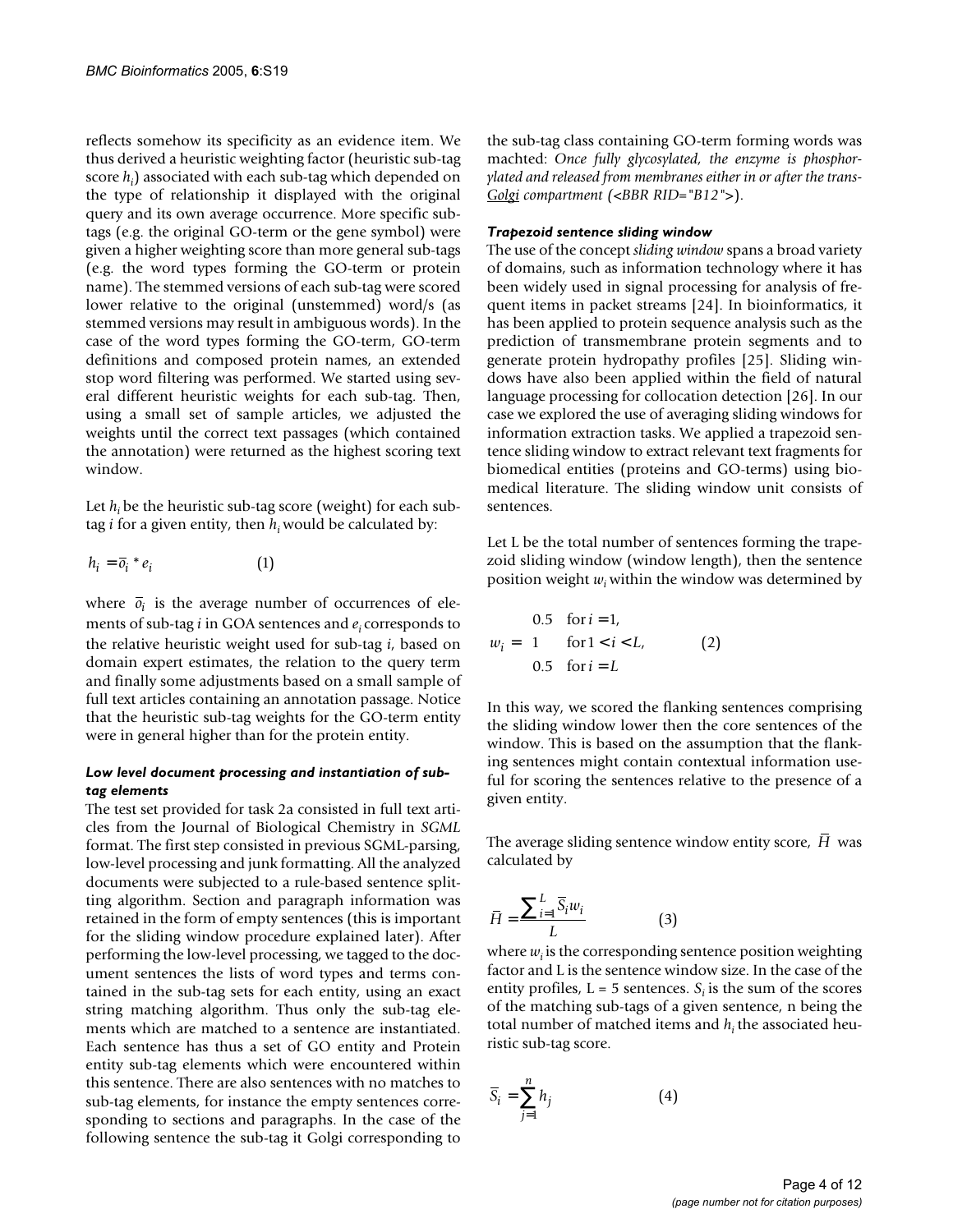reflects somehow its specificity as an evidence item. We thus derived a heuristic weighting factor (heuristic sub-tag score *hi* ) associated with each sub-tag which depended on the type of relationship it displayed with the original query and its own average occurrence. More specific subtags (e.g. the original GO-term or the gene symbol) were given a higher weighting score than more general sub-tags (e.g. the word types forming the GO-term or protein name). The stemmed versions of each sub-tag were scored lower relative to the original (unstemmed) word/s (as stemmed versions may result in ambiguous words). In the case of the word types forming the GO-term, GO-term definitions and composed protein names, an extended stop word filtering was performed. We started using several different heuristic weights for each sub-tag. Then, using a small set of sample articles, we adjusted the weights until the correct text passages (which contained the annotation) were returned as the highest scoring text window.

Let  $h_i$  be the heuristic sub-tag score (weight) for each subtag *i* for a given entity, then *hi* would be calculated by:

$$
h_i = \overline{o}_i * e_i \tag{1}
$$

where  $\bar{o}_i$  is the average number of occurrences of elements of sub-tag *i* in GOA sentences and *ei* corresponds to the relative heuristic weight used for sub-tag *i*, based on domain expert estimates, the relation to the query term and finally some adjustments based on a small sample of full text articles containing an annotation passage. Notice that the heuristic sub-tag weights for the GO-term entity were in general higher than for the protein entity.

#### *Low level document processing and instantiation of subtag elements*

The test set provided for task 2a consisted in full text articles from the Journal of Biological Chemistry in *SGML* format. The first step consisted in previous SGML-parsing, low-level processing and junk formatting. All the analyzed documents were subjected to a rule-based sentence splitting algorithm. Section and paragraph information was retained in the form of empty sentences (this is important for the sliding window procedure explained later). After performing the low-level processing, we tagged to the document sentences the lists of word types and terms contained in the sub-tag sets for each entity, using an exact string matching algorithm. Thus only the sub-tag elements which are matched to a sentence are instantiated. Each sentence has thus a set of GO entity and Protein entity sub-tag elements which were encountered within this sentence. There are also sentences with no matches to sub-tag elements, for instance the empty sentences corresponding to sections and paragraphs. In the case of the following sentence the sub-tag it Golgi corresponding to

the sub-tag class containing GO-term forming words was machted: *Once fully glycosylated, the enzyme is phosphorylated and released from membranes either in or after the trans-Golgi compartment (*<*BBR RID="B12"*>).

#### *Trapezoid sentence sliding window*

The use of the concept *sliding window* spans a broad variety of domains, such as information technology where it has been widely used in signal processing for analysis of frequent items in packet streams [24]. In bioinformatics, it has been applied to protein sequence analysis such as the prediction of transmembrane protein segments and to generate protein hydropathy profiles [25]. Sliding windows have also been applied within the field of natural language processing for collocation detection [26]. In our case we explored the use of averaging sliding windows for information extraction tasks. We applied a trapezoid sentence sliding window to extract relevant text fragments for biomedical entities (proteins and GO-terms) using biomedical literature. The sliding window unit consists of sentences.

Let L be the total number of sentences forming the trapezoid sliding window (window length), then the sentence position weight  $w_i$  within the window was determined by

$$
w_{i} = \begin{cases} 0.5 & \text{for } i = 1, \\ 1 & \text{for } 1 < i < L, \\ 0.5 & \text{for } i = L \end{cases}
$$
 (2)

In this way, we scored the flanking sentences comprising the sliding window lower then the core sentences of the window. This is based on the assumption that the flanking sentences might contain contextual information useful for scoring the sentences relative to the presence of a given entity.

The average sliding sentence window entity score, H was calculated by

$$
\bar{H} = \frac{\sum_{i=1}^{L} \bar{S}_i w_i}{L} \tag{3}
$$

where  $w_i$  is the corresponding sentence position weighting factor and L is the sentence window size. In the case of the entity profiles,  $L = 5$  sentences.  $S_i$  is the sum of the scores of the matching sub-tags of a given sentence, n being the total number of matched items and  $h_i$  the associated heuristic sub-tag score.

$$
\overline{S}_i = \sum_{j=1}^n h_j \tag{4}
$$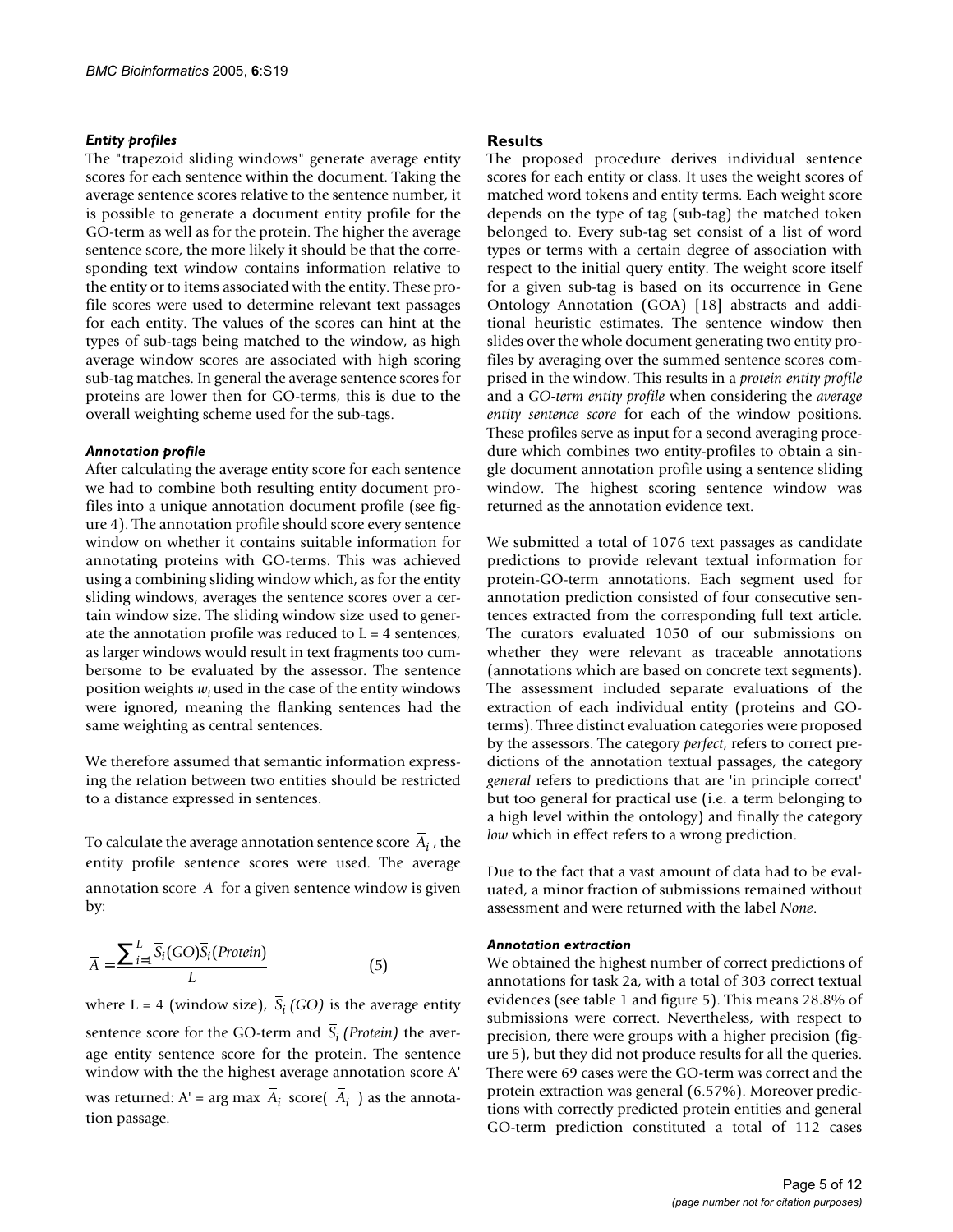#### *Entity profiles*

The "trapezoid sliding windows" generate average entity scores for each sentence within the document. Taking the average sentence scores relative to the sentence number, it is possible to generate a document entity profile for the GO-term as well as for the protein. The higher the average sentence score, the more likely it should be that the corresponding text window contains information relative to the entity or to items associated with the entity. These profile scores were used to determine relevant text passages for each entity. The values of the scores can hint at the types of sub-tags being matched to the window, as high average window scores are associated with high scoring sub-tag matches. In general the average sentence scores for proteins are lower then for GO-terms, this is due to the overall weighting scheme used for the sub-tags.

#### *Annotation profile*

After calculating the average entity score for each sentence we had to combine both resulting entity document profiles into a unique annotation document profile (see figure [4](#page-9-0)). The annotation profile should score every sentence window on whether it contains suitable information for annotating proteins with GO-terms. This was achieved using a combining sliding window which, as for the entity sliding windows, averages the sentence scores over a certain window size. The sliding window size used to generate the annotation profile was reduced to  $L = 4$  sentences, as larger windows would result in text fragments too cumbersome to be evaluated by the assessor. The sentence position weights *wi* used in the case of the entity windows were ignored, meaning the flanking sentences had the same weighting as central sentences.

We therefore assumed that semantic information expressing the relation between two entities should be restricted to a distance expressed in sentences.

To calculate the average annotation sentence score  $A_i$  , the entity profile sentence scores were used. The average annotation score A for a given sentence window is given by:

$$
\overline{A} = \frac{\sum_{i=1}^{L} \overline{S}_i(GO)\overline{S}_i(Protein)}{L}
$$
 (5)

where  $L = 4$  (window size),  $S_i$  (GO) is the average entity sentence score for the GO-term and  $S_i$  (*Protein*) the average entity sentence score for the protein. The sentence window with the the highest average annotation score A' was returned:  $A'$  = arg max  $A_i$  score( $A_i$ ) as the annotation passage.

#### **Results**

The proposed procedure derives individual sentence scores for each entity or class. It uses the weight scores of matched word tokens and entity terms. Each weight score depends on the type of tag (sub-tag) the matched token belonged to. Every sub-tag set consist of a list of word types or terms with a certain degree of association with respect to the initial query entity. The weight score itself for a given sub-tag is based on its occurrence in Gene Ontology Annotation (GOA) [18] abstracts and additional heuristic estimates. The sentence window then slides over the whole document generating two entity profiles by averaging over the summed sentence scores comprised in the window. This results in a *protein entity profile* and a *GO-term entity profile* when considering the *average entity sentence score* for each of the window positions. These profiles serve as input for a second averaging procedure which combines two entity-profiles to obtain a single document annotation profile using a sentence sliding window. The highest scoring sentence window was returned as the annotation evidence text.

We submitted a total of 1076 text passages as candidate predictions to provide relevant textual information for protein-GO-term annotations. Each segment used for annotation prediction consisted of four consecutive sentences extracted from the corresponding full text article. The curators evaluated 1050 of our submissions on whether they were relevant as traceable annotations (annotations which are based on concrete text segments). The assessment included separate evaluations of the extraction of each individual entity (proteins and GOterms). Three distinct evaluation categories were proposed by the assessors. The category *perfect*, refers to correct predictions of the annotation textual passages, the category *general* refers to predictions that are 'in principle correct' but too general for practical use (i.e. a term belonging to a high level within the ontology) and finally the category *low* which in effect refers to a wrong prediction.

Due to the fact that a vast amount of data had to be evaluated, a minor fraction of submissions remained without assessment and were returned with the label *None*.

#### *Annotation extraction*

We obtained the highest number of correct predictions of annotations for task 2a, with a total of 303 correct textual evidences (see table 1 and figure [5\)](#page-10-0). This means 28.8% of submissions were correct. Nevertheless, with respect to precision, there were groups with a higher precision (figure [5](#page-10-0)), but they did not produce results for all the queries. There were 69 cases were the GO-term was correct and the protein extraction was general (6.57%). Moreover predictions with correctly predicted protein entities and general GO-term prediction constituted a total of 112 cases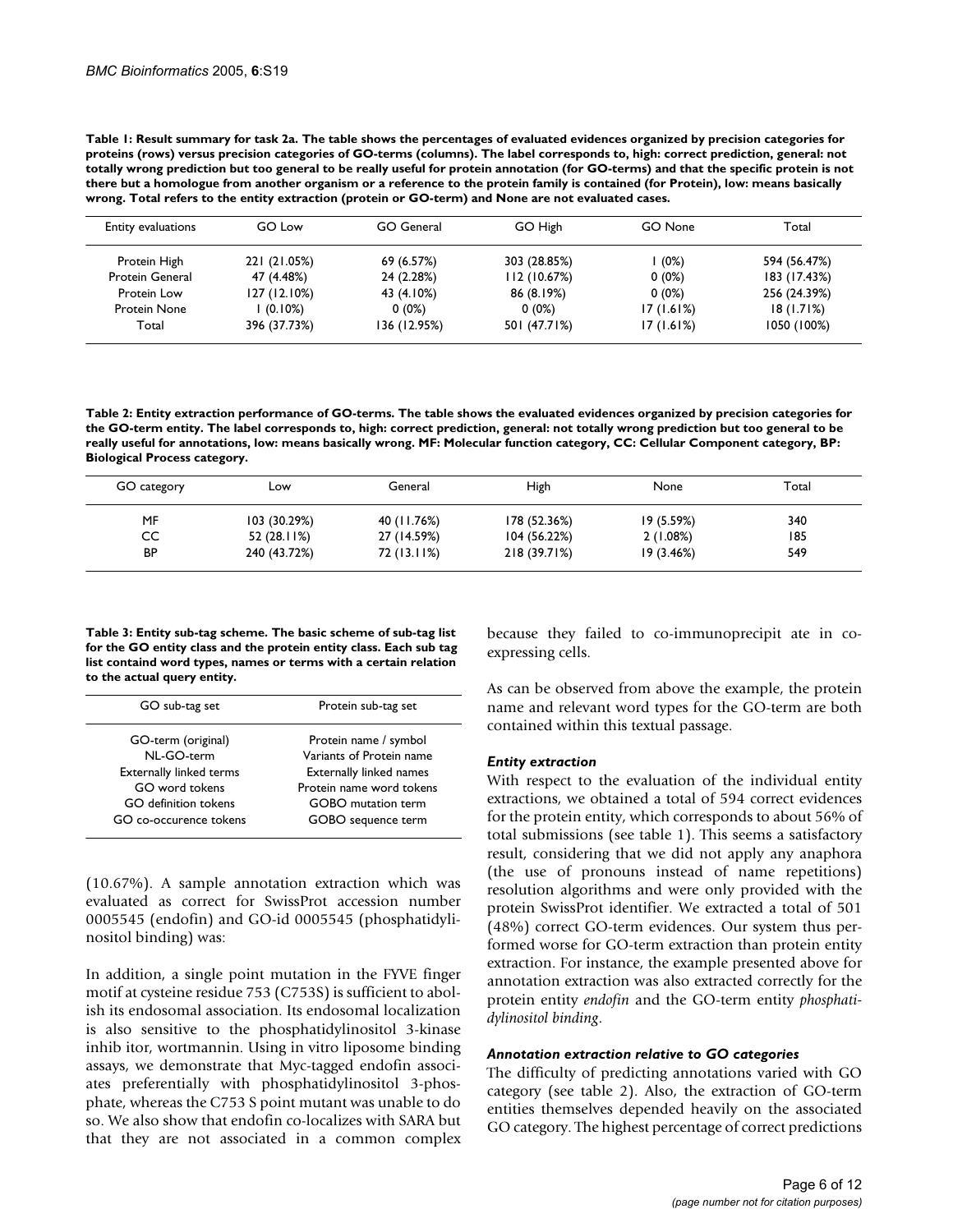**Table 1: Result summary for task 2a. The table shows the percentages of evaluated evidences organized by precision categories for proteins (rows) versus precision categories of GO-terms (columns). The label corresponds to, high: correct prediction, general: not totally wrong prediction but too general to be really useful for protein annotation (for GO-terms) and that the specific protein is not there but a homologue from another organism or a reference to the protein family is contained (for Protein), low: means basically wrong. Total refers to the entity extraction (protein or GO-term) and None are not evaluated cases.**

| Entity evaluations     | GO Low       | GO General   | GO High      | GO None   | Total        |
|------------------------|--------------|--------------|--------------|-----------|--------------|
| Protein High           | 221 (21.05%) | 69 (6.57%)   | 303 (28.85%) | (0%)      | 594 (56.47%) |
| <b>Protein General</b> | 47 (4.48%)   | 24 (2.28%)   | II2 (10.67%) | $0(0\%)$  | 183 (17.43%) |
| Protein Low            | 127 (12.10%) | 43 (4.10%)   | 86 (8.19%)   | $0(0\%)$  | 256 (24.39%) |
| Protein None           | l (0.10%)    | $0(0\%)$     | $0(0\%)$     | 17(1.61%) | 18(1.71%)    |
| Total                  | 396 (37.73%) | 136 (12.95%) | 501 (47.71%) | 17(1.61%) | 1050 (100%)  |

**Table 2: Entity extraction performance of GO-terms. The table shows the evaluated evidences organized by precision categories for the GO-term entity. The label corresponds to, high: correct prediction, general: not totally wrong prediction but too general to be really useful for annotations, low: means basically wrong. MF: Molecular function category, CC: Cellular Component category, BP: Biological Process category.**

| GO category | Low          | General     | High         | None       | Total |
|-------------|--------------|-------------|--------------|------------|-------|
| MF          | 103 (30.29%) | 40 (11.76%) | 178 (52.36%) | 19 (5.59%) | 340   |
| СC          | 52 (28.11%)  | 27 (14.59%) | 104 (56.22%) | 2(1.08%)   | 185   |
| BP          | 240 (43.72%) | 72 (13.11%) | 218 (39.71%) | 19(3.46%)  | 549   |

**Table 3: Entity sub-tag scheme. The basic scheme of sub-tag list for the GO entity class and the protein entity class. Each sub tag list containd word types, names or terms with a certain relation to the actual query entity.**

| GO sub-tag set                 | Protein sub-tag set            |  |  |
|--------------------------------|--------------------------------|--|--|
| GO-term (original)             | Protein name / symbol          |  |  |
| NL-GO-term                     | Variants of Protein name       |  |  |
| <b>Externally linked terms</b> | <b>Externally linked names</b> |  |  |
| GO word tokens                 | Protein name word tokens       |  |  |
| GO definition tokens           | <b>GOBO</b> mutation term      |  |  |
| GO co-occurence tokens         | GOBO sequence term             |  |  |
|                                |                                |  |  |

(10.67%). A sample annotation extraction which was evaluated as correct for SwissProt accession number 0005545 (endofin) and GO-id 0005545 (phosphatidylinositol binding) was:

In addition, a single point mutation in the FYVE finger motif at cysteine residue 753 (C753S) is sufficient to abolish its endosomal association. Its endosomal localization is also sensitive to the phosphatidylinositol 3-kinase inhib itor, wortmannin. Using in vitro liposome binding assays, we demonstrate that Myc-tagged endofin associates preferentially with phosphatidylinositol 3-phosphate, whereas the C753 S point mutant was unable to do so. We also show that endofin co-localizes with SARA but that they are not associated in a common complex because they failed to co-immunoprecipit ate in coexpressing cells.

As can be observed from above the example, the protein name and relevant word types for the GO-term are both contained within this textual passage.

#### *Entity extraction*

With respect to the evaluation of the individual entity extractions, we obtained a total of 594 correct evidences for the protein entity, which corresponds to about 56% of total submissions (see table 1). This seems a satisfactory result, considering that we did not apply any anaphora (the use of pronouns instead of name repetitions) resolution algorithms and were only provided with the protein SwissProt identifier. We extracted a total of 501 (48%) correct GO-term evidences. Our system thus performed worse for GO-term extraction than protein entity extraction. For instance, the example presented above for annotation extraction was also extracted correctly for the protein entity *endofin* and the GO-term entity *phosphatidylinositol binding*.

#### *Annotation extraction relative to GO categories*

The difficulty of predicting annotations varied with GO category (see table 2). Also, the extraction of GO-term entities themselves depended heavily on the associated GO category. The highest percentage of correct predictions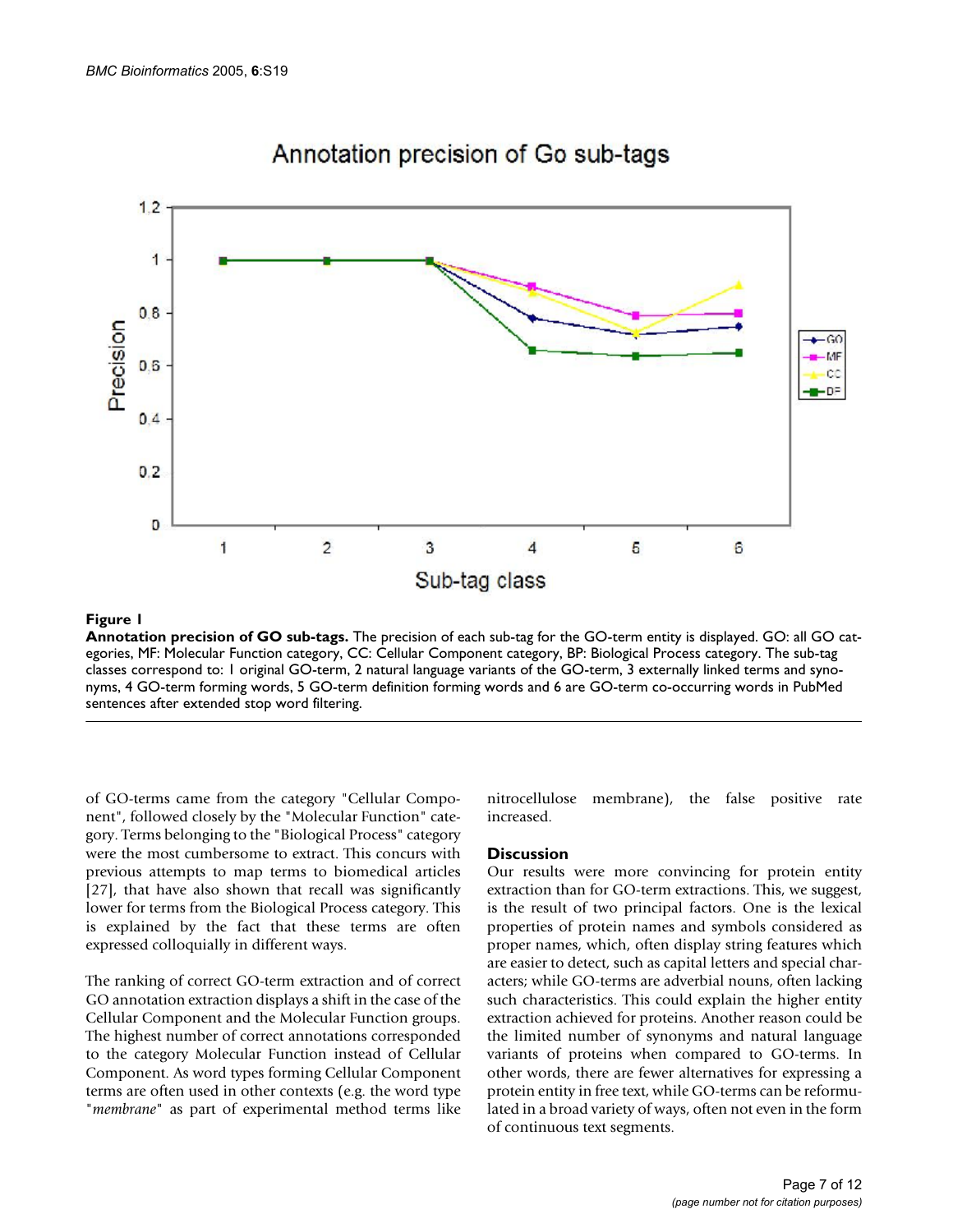

Annotation precision of Go sub-tags

#### **Figure 1**

**Annotation precision of GO sub-tags.** The precision of each sub-tag for the GO-term entity is displayed. GO: all GO categories, MF: Molecular Function category, CC: Cellular Component category, BP: Biological Process category. The sub-tag classes correspond to: 1 original GO-term, 2 natural language variants of the GO-term, 3 externally linked terms and synonyms, 4 GO-term forming words, 5 GO-term definition forming words and 6 are GO-term co-occurring words in PubMed sentences after extended stop word filtering.

of GO-terms came from the category "Cellular Component", followed closely by the "Molecular Function" category. Terms belonging to the "Biological Process" category were the most cumbersome to extract. This concurs with previous attempts to map terms to biomedical articles [27], that have also shown that recall was significantly lower for terms from the Biological Process category. This is explained by the fact that these terms are often expressed colloquially in different ways.

The ranking of correct GO-term extraction and of correct GO annotation extraction displays a shift in the case of the Cellular Component and the Molecular Function groups. The highest number of correct annotations corresponded to the category Molecular Function instead of Cellular Component. As word types forming Cellular Component terms are often used in other contexts (e.g. the word type "*membrane*" as part of experimental method terms like nitrocellulose membrane), the false positive rate increased.

#### **Discussion**

Our results were more convincing for protein entity extraction than for GO-term extractions. This, we suggest, is the result of two principal factors. One is the lexical properties of protein names and symbols considered as proper names, which, often display string features which are easier to detect, such as capital letters and special characters; while GO-terms are adverbial nouns, often lacking such characteristics. This could explain the higher entity extraction achieved for proteins. Another reason could be the limited number of synonyms and natural language variants of proteins when compared to GO-terms. In other words, there are fewer alternatives for expressing a protein entity in free text, while GO-terms can be reformulated in a broad variety of ways, often not even in the form of continuous text segments.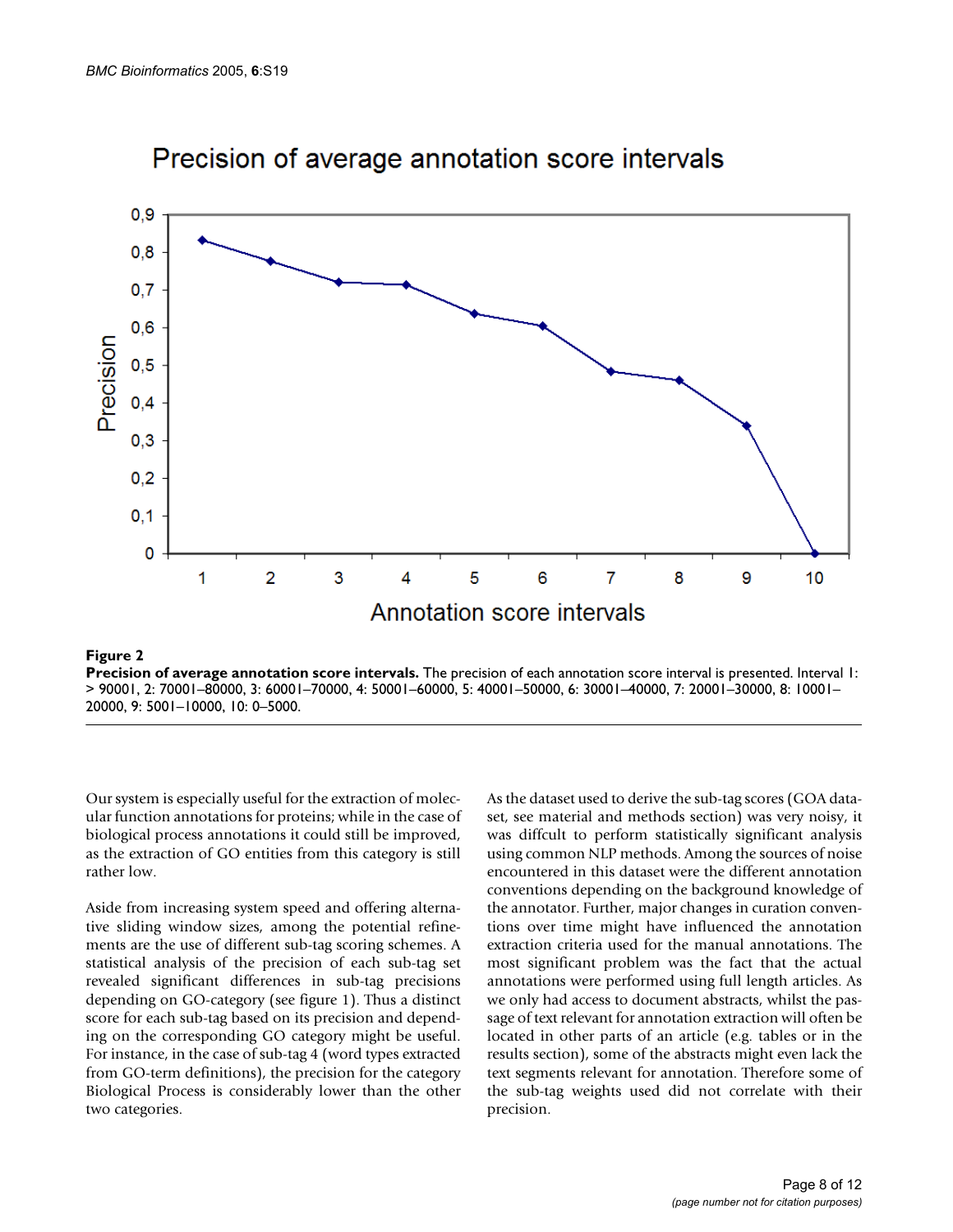

## Precision of average annotation score intervals

### **Figure 2**

**Precision of average annotation score intervals.** The precision of each annotation score interval is presented. Interval 1: > 90001, 2: 70001–80000, 3: 60001–70000, 4: 50001–60000, 5: 40001–50000, 6: 30001–40000, 7: 20001–30000, 8: 10001– 20000, 9: 5001–10000, 10: 0–5000.

Our system is especially useful for the extraction of molecular function annotations for proteins; while in the case of biological process annotations it could still be improved, as the extraction of GO entities from this category is still rather low.

Aside from increasing system speed and offering alternative sliding window sizes, among the potential refinements are the use of different sub-tag scoring schemes. A statistical analysis of the precision of each sub-tag set revealed significant differences in sub-tag precisions depending on GO-category (see figure 1). Thus a distinct score for each sub-tag based on its precision and depending on the corresponding GO category might be useful. For instance, in the case of sub-tag 4 (word types extracted from GO-term definitions), the precision for the category Biological Process is considerably lower than the other two categories.

As the dataset used to derive the sub-tag scores (GOA dataset, see material and methods section) was very noisy, it was diffcult to perform statistically significant analysis using common NLP methods. Among the sources of noise encountered in this dataset were the different annotation conventions depending on the background knowledge of the annotator. Further, major changes in curation conventions over time might have influenced the annotation extraction criteria used for the manual annotations. The most significant problem was the fact that the actual annotations were performed using full length articles. As we only had access to document abstracts, whilst the passage of text relevant for annotation extraction will often be located in other parts of an article (e.g. tables or in the results section), some of the abstracts might even lack the text segments relevant for annotation. Therefore some of the sub-tag weights used did not correlate with their precision.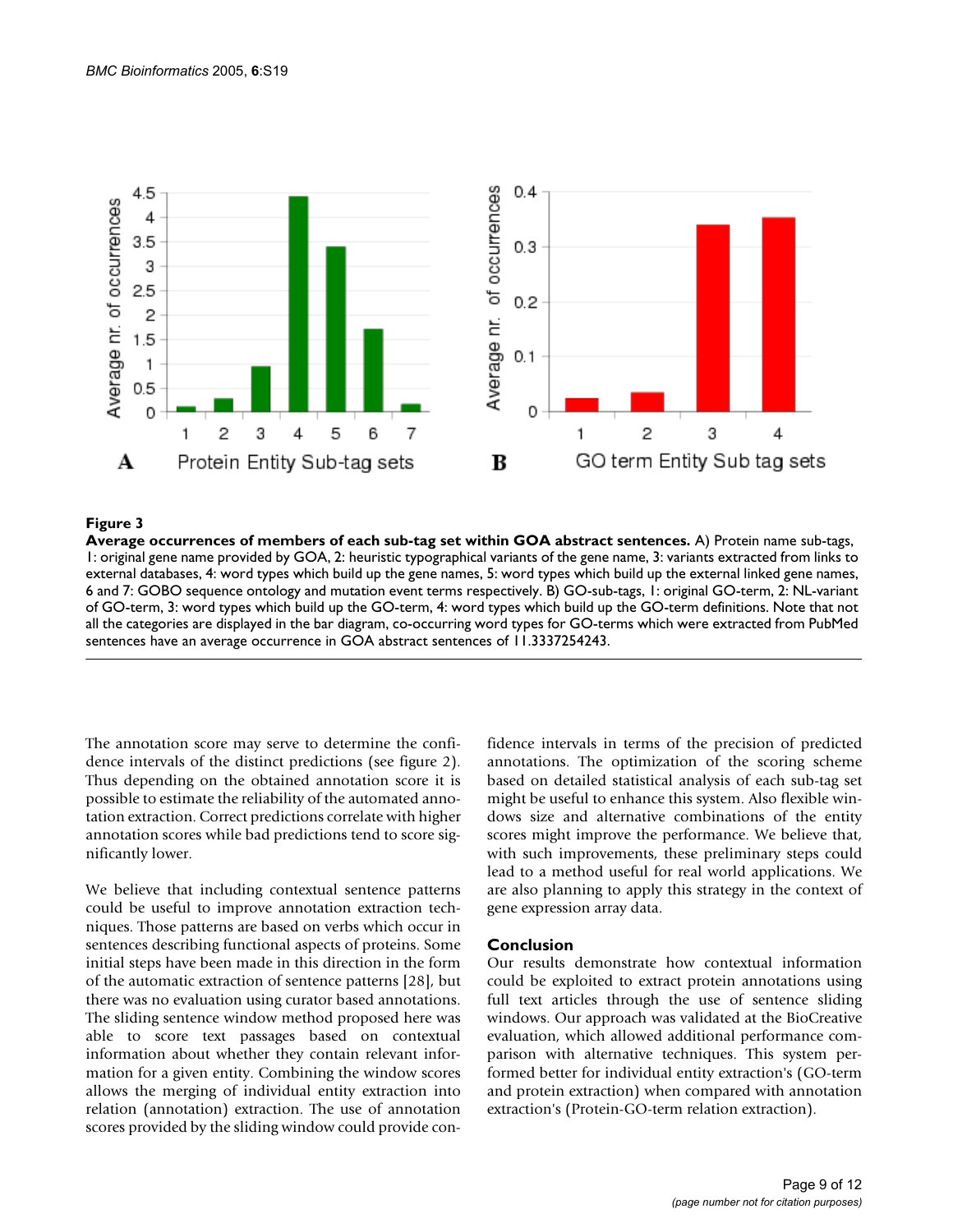

#### Average occurrences of memb **Figure 3** ers of each sub-tag set within GOA abstract sentences

**Average occurrences of members of each sub-tag set within GOA abstract sentences.** A) Protein name sub-tags, 1: original gene name provided by GOA, 2: heuristic typographical variants of the gene name, 3: variants extracted from links to external databases, 4: word types which build up the gene names, 5: word types which build up the external linked gene names, 6 and 7: GOBO sequence ontology and mutation event terms respectively. B) GO-sub-tags, 1: original GO-term, 2: NL-variant of GO-term, 3: word types which build up the GO-term, 4: word types which build up the GO-term definitions. Note that not all the categories are displayed in the bar diagram, co-occurring word types for GO-terms which were extracted from PubMed sentences have an average occurrence in GOA abstract sentences of 11.3337254243.

The annotation score may serve to determine the confidence intervals of the distinct predictions (see figure 2). Thus depending on the obtained annotation score it is possible to estimate the reliability of the automated annotation extraction. Correct predictions correlate with higher annotation scores while bad predictions tend to score significantly lower.

We believe that including contextual sentence patterns could be useful to improve annotation extraction techniques. Those patterns are based on verbs which occur in sentences describing functional aspects of proteins. Some initial steps have been made in this direction in the form of the automatic extraction of sentence patterns [28], but there was no evaluation using curator based annotations. The sliding sentence window method proposed here was able to score text passages based on contextual information about whether they contain relevant information for a given entity. Combining the window scores allows the merging of individual entity extraction into relation (annotation) extraction. The use of annotation scores provided by the sliding window could provide confidence intervals in terms of the precision of predicted annotations. The optimization of the scoring scheme based on detailed statistical analysis of each sub-tag set might be useful to enhance this system. Also flexible windows size and alternative combinations of the entity scores might improve the performance. We believe that, with such improvements, these preliminary steps could lead to a method useful for real world applications. We are also planning to apply this strategy in the context of gene expression array data.

#### **Conclusion**

Our results demonstrate how contextual information could be exploited to extract protein annotations using full text articles through the use of sentence sliding windows. Our approach was validated at the BioCreative evaluation, which allowed additional performance comparison with alternative techniques. This system performed better for individual entity extraction's (GO-term and protein extraction) when compared with annotation extraction's (Protein-GO-term relation extraction).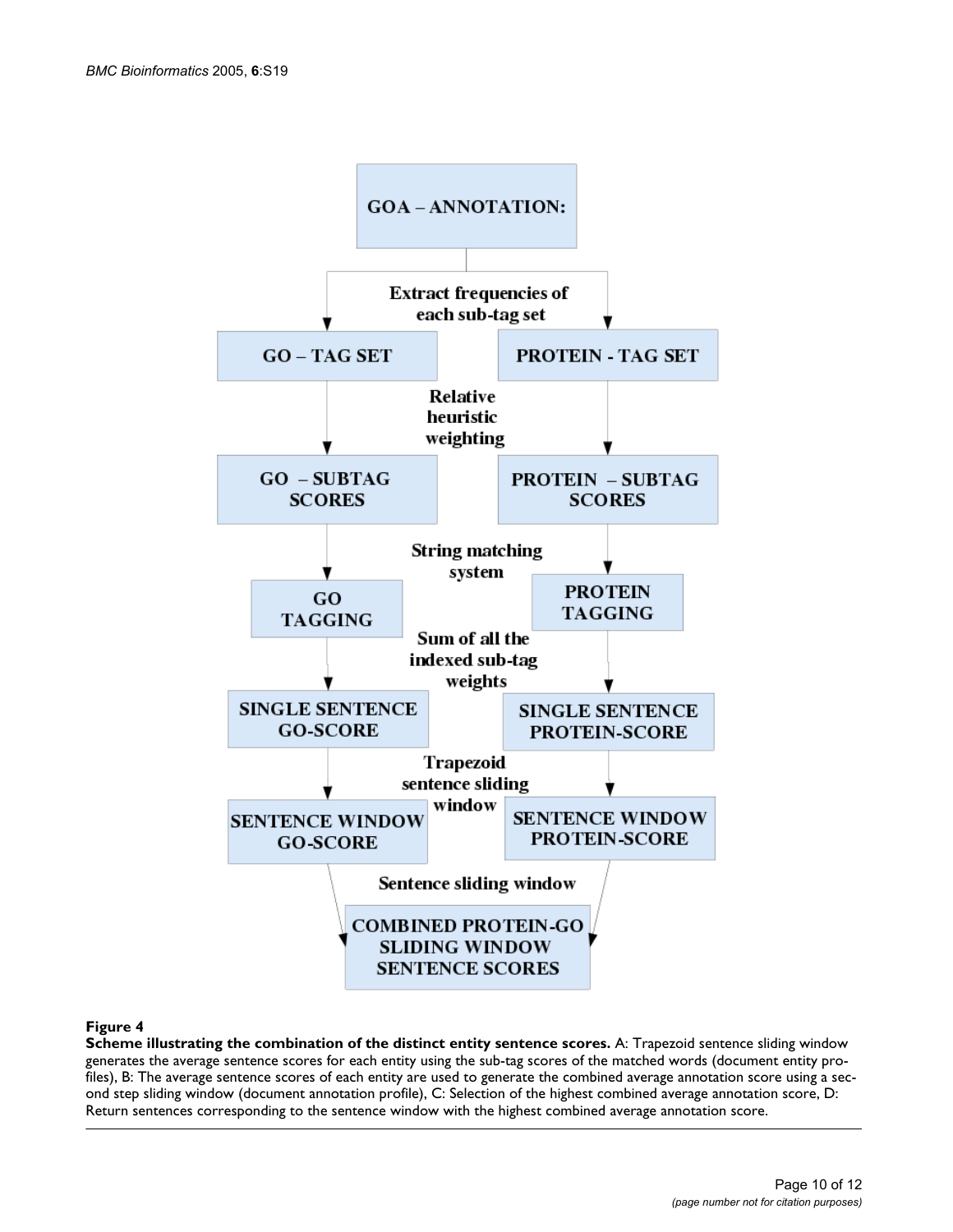<span id="page-9-0"></span>

#### Figure 4

**Scheme illustrating the combination of the distinct entity sentence scores.** A: Trapezoid sentence sliding window generates the average sentence scores for each entity using the sub-tag scores of the matched words (document entity profiles), B: The average sentence scores of each entity are used to generate the combined average annotation score using a second step sliding window (document annotation profile), C: Selection of the highest combined average annotation score, D: Return sentences corresponding to the sentence window with the highest combined average annotation score.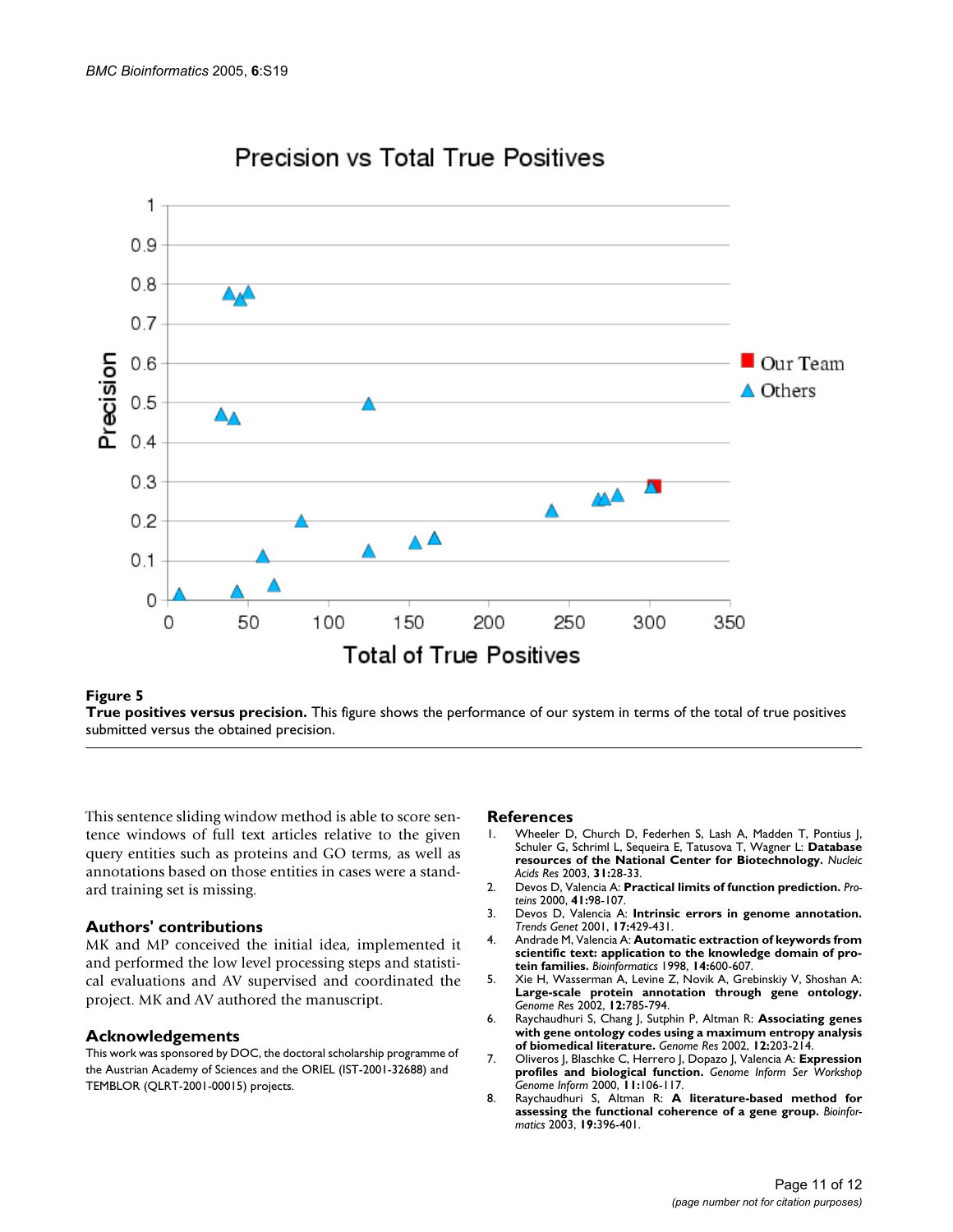<span id="page-10-0"></span>

## Precision vs Total True Positives

#### **Figure 5**

**True positives versus precision.** This figure shows the performance of our system in terms of the total of true positives submitted versus the obtained precision.

This sentence sliding window method is able to score sentence windows of full text articles relative to the given query entities such as proteins and GO terms, as well as annotations based on those entities in cases were a standard training set is missing.

### **Authors' contributions**

MK and MP conceived the initial idea, implemented it and performed the low level processing steps and statistical evaluations and AV supervised and coordinated the project. MK and AV authored the manuscript.

#### **Acknowledgements**

This work was sponsored by DOC, the doctoral scholarship programme of the Austrian Academy of Sciences and the ORIEL (IST-2001-32688) and TEMBLOR (QLRT-2001-00015) projects.

#### **References**

- 1. Wheeler D, Church D, Federhen S, Lash A, Madden T, Pontius J, Schuler G, Schriml L, Sequeira E, Tatusova T, Wagner L: **[Database](http://www.ncbi.nlm.nih.gov/entrez/query.fcgi?cmd=Retrieve&db=PubMed&dopt=Abstract&list_uids=12519941) [resources of the National Center for Biotechnology.](http://www.ncbi.nlm.nih.gov/entrez/query.fcgi?cmd=Retrieve&db=PubMed&dopt=Abstract&list_uids=12519941)** *Nucleic Acids Res* 2003, **31:**28-33.
- 2. Devos D, Valencia A: **[Practical limits of function prediction.](http://www.ncbi.nlm.nih.gov/entrez/query.fcgi?cmd=Retrieve&db=PubMed&dopt=Abstract&list_uids=10944397)** *Proteins* 2000, **41:**98-107.
- 3. Devos D, Valencia A: **[Intrinsic errors in genome annotation.](http://www.ncbi.nlm.nih.gov/entrez/query.fcgi?cmd=Retrieve&db=PubMed&dopt=Abstract&list_uids=11485799)** *Trends Genet* 2001, **17:**429-431.
- 4. Andrade M, Valencia A: **[Automatic extraction of keywords from](http://www.ncbi.nlm.nih.gov/entrez/query.fcgi?cmd=Retrieve&db=PubMed&dopt=Abstract&list_uids=9730925) [scientific text: application to the knowledge domain of pro](http://www.ncbi.nlm.nih.gov/entrez/query.fcgi?cmd=Retrieve&db=PubMed&dopt=Abstract&list_uids=9730925)[tein families.](http://www.ncbi.nlm.nih.gov/entrez/query.fcgi?cmd=Retrieve&db=PubMed&dopt=Abstract&list_uids=9730925)** *Bioinformatics* 1998, **14:**600-607.
- 5. Xie H, Wasserman A, Levine Z, Novik A, Grebinskiy V, Shoshan A: **[Large-scale protein annotation through gene ontology.](http://www.ncbi.nlm.nih.gov/entrez/query.fcgi?cmd=Retrieve&db=PubMed&dopt=Abstract&list_uids=11997345)** *Genome Res* 2002, **12:**785-794.
- 6. Raychaudhuri S, Chang J, Sutphin P, Altman R: **[Associating genes](http://www.ncbi.nlm.nih.gov/entrez/query.fcgi?cmd=Retrieve&db=PubMed&dopt=Abstract&list_uids=11779846) [with gene ontology codes using a maximum entropy analysis](http://www.ncbi.nlm.nih.gov/entrez/query.fcgi?cmd=Retrieve&db=PubMed&dopt=Abstract&list_uids=11779846) [of biomedical literature.](http://www.ncbi.nlm.nih.gov/entrez/query.fcgi?cmd=Retrieve&db=PubMed&dopt=Abstract&list_uids=11779846)** *Genome Res* 2002, **12:**203-214.
- 7. Oliveros J, Blaschke C, Herrero J, Dopazo J, Valencia A: **[Expression](http://www.ncbi.nlm.nih.gov/entrez/query.fcgi?cmd=Retrieve&db=PubMed&dopt=Abstract&list_uids=11700592) [profiles and biological function.](http://www.ncbi.nlm.nih.gov/entrez/query.fcgi?cmd=Retrieve&db=PubMed&dopt=Abstract&list_uids=11700592)** *Genome Inform Ser Workshop Genome Inform* 2000, **11:**106-117.
- 8. Raychaudhuri S, Altman R: **[A literature-based method for](http://www.ncbi.nlm.nih.gov/entrez/query.fcgi?cmd=Retrieve&db=PubMed&dopt=Abstract&list_uids=12584126) [assessing the functional coherence of a gene group.](http://www.ncbi.nlm.nih.gov/entrez/query.fcgi?cmd=Retrieve&db=PubMed&dopt=Abstract&list_uids=12584126)** *Bioinformatics* 2003, **19:**396-401.